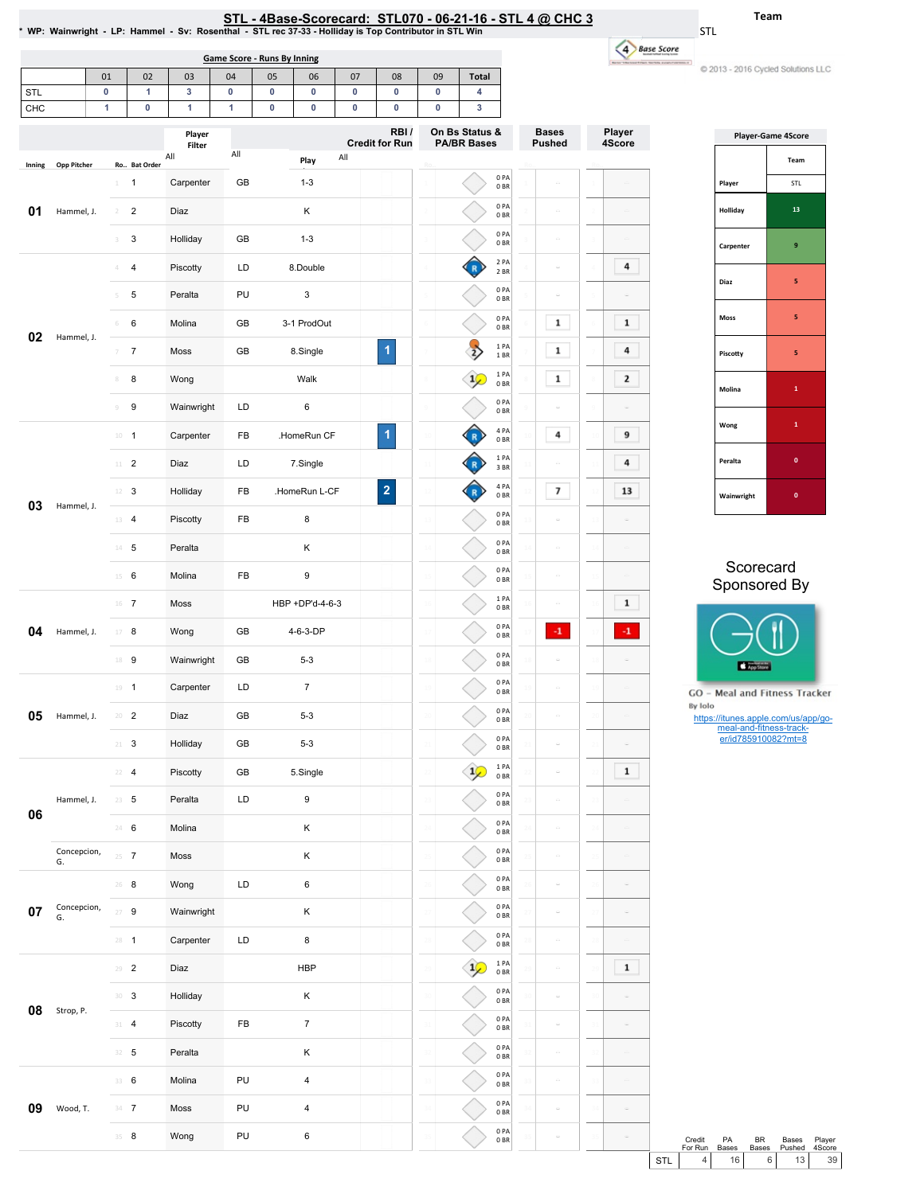| . - 4Base-Scorecard:  STL070 - 06-21-16 - STL 4 @ CHC 3 |  |
|---------------------------------------------------------|--|
|                                                         |  |

1 2 3 0PA 0BR 0PA 0BR

1 2 3

Bases Pushed

 $\circ$ 

Ro..

Player 4Score

 $\omega$ 

On Bs Status &<br>PA/BR Bases

**Credit for Run** 

S<u>TL - 4Base-Scorecard: STL070 - 06-21-16 - STL 4 @ CHC 3</u><br>\* WP: Wainwright - LP: Hammel - Sv: Rosenthal - STL rec 37-33 - Holliday is Top Contributor in STL Win \*

STL

|     | Game Score - Runs By Inning |    |        |    |    |    |    |            |    |                |  |  |  |
|-----|-----------------------------|----|--------|----|----|----|----|------------|----|----------------|--|--|--|
|     | 01                          | 02 | 03     | 04 | 05 | 06 | 07 | 08         | 09 | <b>Total</b>   |  |  |  |
| STL | 0                           |    | っ      | C  |    |    | 0  |            |    |                |  |  |  |
| CHC |                             |    |        |    |    |    | 0  |            |    | o              |  |  |  |
|     |                             |    | Plaver |    |    |    |    | <b>RBI</b> |    | On Bs Status & |  |  |  |

All Play All

1 1 Carpenter GB 1-3 2 2 Diaz K 3 3 Holliday GB 1-3

Player Filter All

Inning Opp Pitcher Ro.. Bat Order

**01** Hammel, J.

| <b>Base Score</b> |  |
|-------------------|--|
|                   |  |
|                   |  |

2016 Cycled Solutions LLC

Team

|            | <b>Player-Game 4Score</b> |
|------------|---------------------------|
|            | Team                      |
| Player     | <b>STL</b>                |
| Holliday   | 13                        |
| Carpenter  | 9                         |
| Diaz       | 5                         |
| Moss       | 5                         |
| Piscotty   | 5                         |
| Molina     | $\mathbf{1}$              |
| Wong       | $\mathbf{1}$              |
| Peralta    | $\mathbf{0}$              |
| Wainwright | $\mathbf{0}$              |

### Scorecard Sponsored By



**GO** - Meal and Fitness Tracker By Iolo

https://itunes.apple.com/us/app/go-meal-and-fitness-track-er/id785910082?mt=8

|    |                   | 3                          | 3              | Holliday   | GB         | $1 - 3$                 |                         |     |               | 0 PA<br>0B               |    |                     |                     |     |
|----|-------------------|----------------------------|----------------|------------|------------|-------------------------|-------------------------|-----|---------------|--------------------------|----|---------------------|---------------------|-----|
|    |                   | 4<br>4                     |                | Piscotty   | LD         | 8.Double                |                         |     |               | 2 PA<br>2 BR             |    | $\bar{\omega}$      | 4                   |     |
|    |                   | 5                          | 5              | Peralta    | PU         | 3                       |                         |     |               | 0PA<br>0BR               |    | ٠                   |                     |     |
|    |                   | 6                          | 6              | Molina     | GB         | 3-1 ProdOut             |                         |     |               | 0 PA<br>0B               |    | 1                   | $\mathbf{1}$        |     |
| 02 | Hammel, J.        | 7                          | $\overline{7}$ | Moss       | GB         | 8.Single                | 1                       |     |               | 1 PA<br>$1\,\mathrm{BR}$ |    | 1                   | 4                   |     |
|    |                   | $\scriptstyle\rm 8$        | 8              | Wong       |            | Walk                    |                         |     | $\frac{1}{2}$ | 1PA<br>0B                |    | 1                   | 2                   |     |
|    |                   | $\circledcirc$             | 9              | Wainwright | LD         | 6                       |                         |     |               | 0 PA<br>0 <sub>BR</sub>  |    |                     |                     |     |
|    |                   | $10 - 1$                   |                | Carpenter  | FB         | .HomeRun CF             | 1                       |     |               | 4 PA<br>0BR              |    | 4                   | 9                   |     |
|    |                   | $11$ – $2$                 |                | Diaz       | LD         | 7.Single                |                         |     |               | 1PA<br>3 BR              |    |                     | 4                   |     |
| 03 | Hammel, J.        | $12 \t3$                   |                | Holliday   | FB         | .HomeRun L-CF           | $\overline{\mathbf{c}}$ |     |               | 4 PA<br>0B               |    | 7                   | 13                  |     |
|    |                   | 13 4                       |                | Piscotty   | FB         | 8                       |                         |     |               | 0PA<br>0B                |    | $\overline{\omega}$ |                     |     |
|    |                   | $14$ 5                     |                | Peralta    |            | Κ                       |                         |     |               | 0PA<br>0 <sub>BR</sub>   |    | $\bar{\omega}$      | $\bar{~}$           |     |
|    |                   | 6<br>$15 -$                |                | Molina     | FB         | 9                       |                         |     |               | 0PA<br>0BR               |    |                     | $\equiv$            |     |
|    |                   | $16$ 7                     |                | Moss       |            | HBP +DP'd-4-6-3         |                         |     |               | 1PA<br>0B                |    |                     | $\mathbf 1$         |     |
| 04 | Hammel, J.        | $17 - 8$                   |                | Wong       | GB         | 4-6-3-DP                |                         |     |               | 0PA<br>0B                |    | $\mathbf{-1}$       | -1                  |     |
|    |                   | 18 9                       |                | Wainwright | GB         | $5 - 3$                 |                         |     |               | 0PA<br>0B                |    |                     |                     |     |
|    |                   | $19 - 1$                   |                | Carpenter  | LD         | 7                       |                         |     |               | 0 PA<br>0 <sub>BR</sub>  |    |                     |                     |     |
| 05 | Hammel, J.        | $20 - 2$                   |                | Diaz       | GB         | $5 - 3$                 |                         |     |               | 0PA<br>0B                |    |                     |                     |     |
|    |                   | 21                         | 3              | Holliday   | GB         | $5 - 3$                 |                         |     |               | 0 PA<br>0B               | 21 | $\bar{a}$           |                     |     |
|    |                   | 22<br>4                    |                | Piscotty   | GB         | 5.Single                |                         |     | $\mathbf{1}$  | 1 PA<br>0B               |    | $\equiv$            | 1                   |     |
| 06 | Hammel, J.        | $23 \t 5$                  |                | Peralta    | LD         | 9                       |                         |     |               | 0PA<br>0B                |    | $\bar{\omega}$      |                     |     |
|    |                   | 24 6                       |                | Molina     |            | Κ                       |                         |     |               | 0PA<br>0BR               |    | $\bar{\omega}$      |                     |     |
|    | Concepcion,<br>G. | $25 - 7$                   |                | Moss       |            | Κ                       |                         |     |               | 0PA<br>0BR               |    | $\bar{a}$           | ö                   |     |
|    |                   | $26$ 8                     |                | Wong       | LD         | 6                       |                         |     |               | 0PA<br>0 <sub>BR</sub>   |    |                     |                     |     |
| 07 | Concepcion,<br>G. | 27<br>9                    |                | Wainwright |            | κ                       |                         |     |               | 0 <sub>PA</sub><br>0B    |    |                     |                     |     |
|    |                   | $28 - 1$                   |                | Carpenter  | LD         | 8                       |                         |     |               | 0PA<br>0BR               |    | $\bar{\omega}$      | $\overline{a}$      |     |
|    |                   | $29 - 2$                   |                | Diaz       |            | HBP                     |                         |     | $1\circ$      | $1 PA$<br>$0 BR$         | 29 | $\bar{a}$           | $\mathbf{1}$        |     |
| 08 | Strop, P.         | $\mathbf{30} - \mathbf{3}$ |                | Holliday   |            | Κ                       |                         | -30 |               | 0PA<br>0BR               | 30 | $\bar{a}$           |                     |     |
|    |                   | $31 - 4$                   |                | Piscotty   | ${\sf FB}$ | $\boldsymbol{7}$        |                         |     |               | 0PA<br>0BR               | 31 | $\bar{\omega}$      | $\bar{\omega}$      |     |
|    |                   | $32 - 5$                   |                | Peralta    |            | $\sf K$                 |                         |     |               | 0PA<br>0B                |    | $\bar{a}$           | $\bar{a}$           |     |
|    |                   | 33 6                       |                | Molina     | PU         | $\overline{\mathbf{4}}$ |                         |     |               | 0PA<br>0BR               |    | $\bar{\omega}$      | $\bar{\omega}$      |     |
| 09 | Wood, T.          | $34 - 7$                   |                | Moss       | PU         | 4                       |                         |     |               | 0PA<br>0B                |    | $\bar{\omega}$      | $\bar{\phantom{a}}$ |     |
|    |                   | $35 - 8$                   |                | Wong       | PU         | 6                       |                         |     |               | 0PA<br>0B                |    |                     | $\equiv$            |     |
|    |                   |                            |                |            |            |                         |                         |     |               |                          |    |                     |                     | STL |

Credit ForRun PA Bases BR Bases Bases Pushed Credit PA BR Bases Player<br>
For Run Bases Bases Pushed 4Score<br>
STL 4 16 6 13 39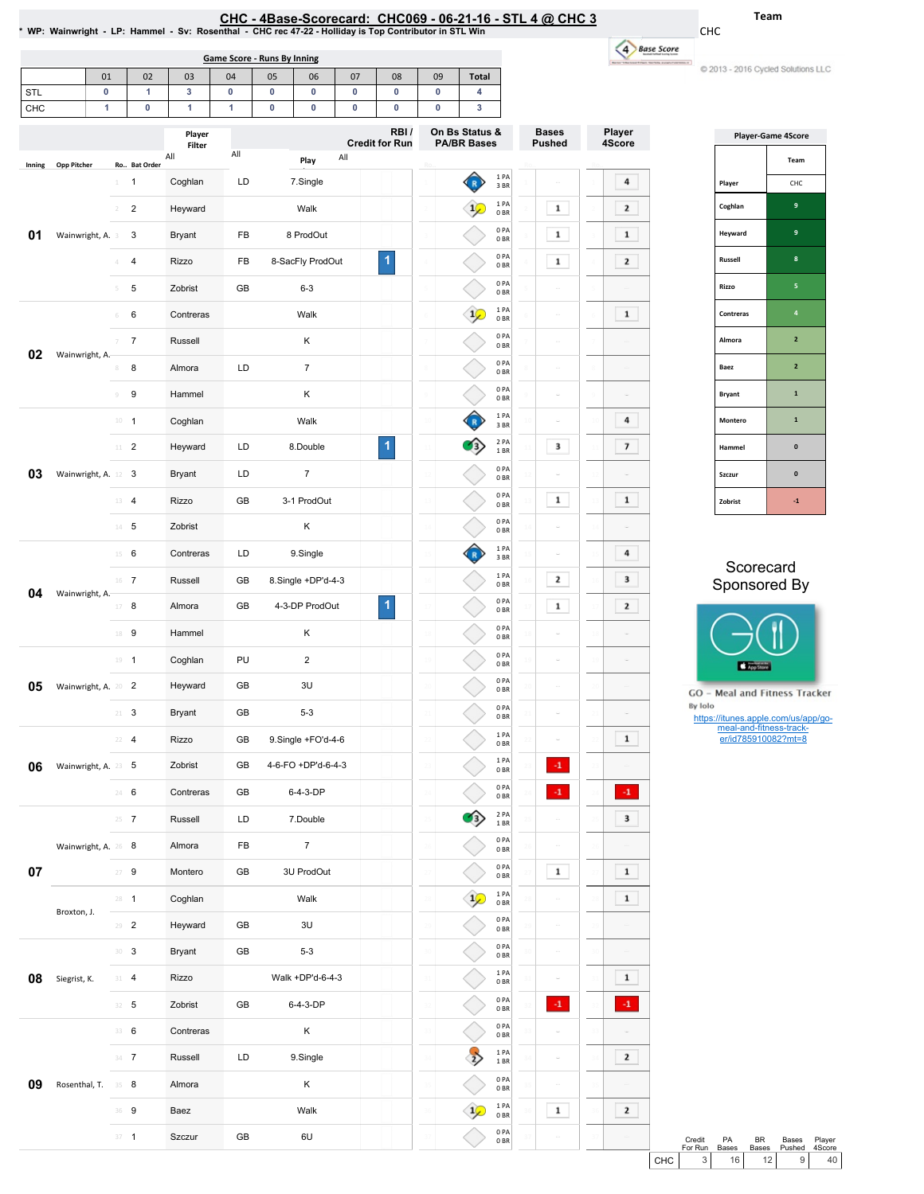|  | HC - 4Base-Scorecard:  CHC069 - 06-21-16 - STL 4 @ CHC 3 |  |  |  |
|--|----------------------------------------------------------|--|--|--|
|  |                                                          |  |  |  |

<u>CHC - 4Base-Scorecard: CHC069 - 06-21-16 - STL 4 @ CHC 3</u><br>WP: Wainwright - LP: Hammel - Sv: Rosenthal - CHC rec 47-22 - Holliday is Top Contributor in STL Win \*

Team

CHC

u)

| C 2013 - 2016 Cycled Solutions LLC |  |  |
|------------------------------------|--|--|

|            |                     |                |                |                  | <b>Game Score - Runs By Inning</b> |    |                    |     |                               |                |                                      |                                      |                               |           | 4 Base Score             |
|------------|---------------------|----------------|----------------|------------------|------------------------------------|----|--------------------|-----|-------------------------------|----------------|--------------------------------------|--------------------------------------|-------------------------------|-----------|--------------------------|
|            |                     | 01             | 02             | 03               | 04                                 | 05 | 06                 | 07  | 08                            | 09             | <b>Total</b>                         |                                      |                               |           |                          |
| <b>STL</b> |                     | 0              | 1              | 3                | 0                                  | 0  | 0                  | 0   | 0                             | 0              | 4                                    |                                      |                               |           |                          |
| CHC        |                     | 1              | 0              | 1                | 1                                  | 0  | 0                  | 0   | 0                             | 0              | 3                                    |                                      |                               |           |                          |
|            |                     |                |                | Player<br>Filter | All                                |    |                    |     | RBI/<br><b>Credit for Run</b> |                | On Bs Status &<br><b>PA/BR Bases</b> |                                      | <b>Bases</b><br><b>Pushed</b> |           | Player<br>4Score         |
| Inning     | <b>Opp Pitcher</b>  |                | Ro Bat Order   | All              |                                    |    | Play               | All |                               |                |                                      | 1PA                                  |                               |           |                          |
|            |                     | 1              | $\mathbf{1}$   | Coghlan          | LD                                 |    | 7.Single           |     |                               |                |                                      | 3 BR                                 |                               |           | 4                        |
|            |                     | $\overline{2}$ | $\overline{2}$ | Heyward          |                                    |    | Walk               |     |                               |                |                                      | 1 PA<br>0BR                          |                               | 1         | $\overline{2}$           |
| 01         | Wainwright, A. 3    |                | 3              | Bryant           | FB                                 |    | 8 ProdOut          |     |                               |                |                                      | 0PA<br>0BR                           |                               | 1         | $\mathbf{1}$             |
|            |                     |                | 4              | Rizzo            | FB                                 |    | 8-SacFly ProdOut   |     | 1                             | $\mathcal{A}$  |                                      | 0PA<br>0BR                           |                               | 1         | $\mathbf{2}$             |
|            |                     | 5              | 5              | Zobrist          | GB                                 |    | $6 - 3$            |     |                               |                |                                      | 0PA<br>0BR                           |                               |           |                          |
|            |                     | 6              | 6              | Contreras        |                                    |    | Walk               |     |                               | 6              |                                      | $1\ \mathsf{PA}$<br>0BR              |                               |           | $\mathbf{1}$             |
| 02         | Wainwright, A.      | 7              | $\overline{7}$ | Russell          |                                    |    | Κ                  |     |                               |                |                                      | 0PA<br>0BR                           |                               |           |                          |
|            |                     | 8              | 8              | Almora           | LD                                 |    | $\boldsymbol{7}$   |     |                               | $\mathbb{R}$   |                                      | 0PA<br>0BR                           |                               |           |                          |
|            |                     | $\mathcal G$   | 9              | Hammel           |                                    |    | Κ                  |     |                               | $\circ$        |                                      | 0 PA<br>0BR                          |                               |           |                          |
|            |                     |                | $10 - 1$       | Coghlan          |                                    |    | Walk               |     |                               | 10             |                                      | $1$ PA<br>3 BR                       |                               |           | 4                        |
|            |                     |                | $11$ 2         | Heyward          | LD                                 |    | 8.Double           |     | $\overline{\mathbf{1}}$       |                |                                      | 2 PA<br>1BR                          |                               | з         | $\overline{\phantom{a}}$ |
| 03         | Wainwright, A. 12 3 |                |                | Bryant           | LD                                 |    | $\overline{7}$     |     |                               |                |                                      | 0 PA<br>0 BR                         |                               |           |                          |
|            |                     |                | $13 - 4$       | Rizzo            | GB                                 |    | 3-1 ProdOut        |     |                               |                |                                      | 0PA<br>0 BR                          |                               | 1         | 1                        |
|            |                     |                | $14$ 5         | Zobrist          |                                    |    | Κ                  |     |                               |                |                                      | 0PA<br>0BR                           |                               |           |                          |
|            |                     |                | $15 \t 6$      | Contreras        | LD                                 |    | 9.Single           |     |                               |                |                                      | 1PA<br>3BR                           |                               |           | 4                        |
|            |                     |                | 16 7           | Russell          | GB                                 |    | 8.Single +DP'd-4-3 |     |                               | 16             |                                      | 1PA<br>0BR                           |                               | 2         | 3                        |
| 04         | Wainwright, A.      |                | $17 - 8$       | Almora           | GB                                 |    | 4-3-DP ProdOut     |     | 1                             | 17             |                                      | 0 PA<br>0BR                          |                               | 1         | $\overline{2}$           |
|            |                     |                | 18 9           | Hammel           |                                    |    | Κ                  |     |                               | 18             |                                      | 0PA<br>0BR                           |                               |           |                          |
|            |                     |                | $19 - 1$       | Coghlan          | PU                                 |    | $\overline{c}$     |     |                               | 15             |                                      | 0PA<br>0BR                           |                               |           |                          |
| 05         | Wainwright, A. 20 2 |                |                | Heyward          | GB                                 |    | 3U                 |     |                               |                |                                      | 0PA<br>0BR                           |                               |           |                          |
|            |                     | 21             | 3              | <b>Bryant</b>    | GB                                 |    | $5 - 3$            |     |                               |                |                                      | 0 PA<br>0B                           |                               |           |                          |
|            |                     |                | $22 - 4$       | Rizzo            | GB                                 |    | 9.Single +FO'd-4-6 |     |                               |                |                                      | 1PA<br>$0\;\ensuremath{\mathsf{BR}}$ |                               |           | $\mathbf{1}$             |
| 06         | Wainwright, A. 23 5 |                |                | Zobrist          | GB                                 |    | 4-6-FO +DP'd-6-4-3 |     |                               | $\mathfrak{D}$ |                                      | 1PA<br>0BR                           |                               | $\cdot$ 1 |                          |
|            |                     |                | 24 6           | Contreras        | GB                                 |    | 6-4-3-DP           |     |                               | $\mathfrak{D}$ |                                      | 0 PA                                 |                               | $\cdot$ 1 | $\cdot 1$                |
|            |                     |                | $25 \t 7$      | Russell          | LD                                 |    | 7.Double           |     |                               | 2!             |                                      | 0B<br>2 PA                           |                               |           | 3                        |
|            | Wainwright, A. 26 8 |                |                | Almora           | FB                                 |    | $\overline{7}$     |     |                               | 26             |                                      | 1 BR<br>0PA                          |                               |           |                          |
| 07         |                     |                | $27 - 9$       | Montero          | GB                                 |    | 3U ProdOut         |     |                               | 2              |                                      | 0BR<br>0 PA                          |                               | 1         | $\mathbf{1}$             |
|            |                     |                |                |                  |                                    |    |                    |     |                               |                |                                      | 0BR<br>1PA                           |                               |           | 1                        |
|            | Broxton, J.         |                | $28 - 1$       | Coghlan          |                                    |    | Walk               |     |                               |                |                                      | 0BR<br>0PA                           |                               |           |                          |
|            |                     |                | $29 - 2$       | Heyward          | GB                                 |    | 3U                 |     |                               | 25             |                                      | 0B<br>0PA                            |                               |           |                          |
|            |                     |                | $30-3$         | Bryant           | GB                                 |    | $5 - 3$            |     |                               | 30             |                                      | 0BR<br>1 PA                          |                               |           |                          |
| 08         | Siegrist, K.        |                | $31 - 4$       | Rizzo            |                                    |    | Walk +DP'd-6-4-3   |     |                               | 31             |                                      | 0B                                   |                               |           | 1                        |
|            |                     |                | $32 - 5$       | Zobrist          | GB                                 |    | 6-4-3-DP           |     |                               | 32             |                                      | 0 PA<br>0B                           |                               | $-1$      | $\cdot$ 1                |
|            |                     |                | 33 6           | Contreras        |                                    |    | Κ                  |     |                               | 33             |                                      | 0PA<br>0BR                           |                               |           |                          |
|            |                     |                | $34 - 7$       | Russell          | LD                                 |    | 9.Single           |     |                               | 34             |                                      | 1PA<br>1 BR                          |                               |           | $\mathbf{2}$             |
| 09         | Rosenthal, T.       | $35 - 8$       |                | Almora           |                                    |    | Κ                  |     |                               | 35             |                                      | 0 PA<br>0BR                          |                               |           |                          |
|            |                     |                | 36 9           | Baez             |                                    |    | Walk               |     |                               |                |                                      | 1 PA<br>0BR                          |                               | 1         | $\overline{2}$           |
|            |                     |                | $37 - 1$       | Szczur           | GB                                 |    | 6U                 |     |                               |                |                                      | 0PA<br>0B                            |                               |           |                          |

| <b>Player-Game 4Score</b> |                |  |  |  |  |  |  |
|---------------------------|----------------|--|--|--|--|--|--|
|                           | Team           |  |  |  |  |  |  |
| Player                    | CHC            |  |  |  |  |  |  |
| Coghlan                   | 9              |  |  |  |  |  |  |
| Heyward                   | 9              |  |  |  |  |  |  |
| <b>Russell</b>            | 8              |  |  |  |  |  |  |
| Rizzo                     | 5              |  |  |  |  |  |  |
| Contreras                 | $\overline{a}$ |  |  |  |  |  |  |
| Almora                    | $\overline{2}$ |  |  |  |  |  |  |
| Baez                      | $\overline{2}$ |  |  |  |  |  |  |
| <b>Bryant</b>             | 1              |  |  |  |  |  |  |
| Montero                   | 1              |  |  |  |  |  |  |
| Hammel                    | $\mathbf{0}$   |  |  |  |  |  |  |
| Szczur                    | $\mathbf{0}$   |  |  |  |  |  |  |
| Zobrist                   | $-1$           |  |  |  |  |  |  |

### **Scorecard** Sponsored By



**GO** - Meal and Fitness Tracker By Iolo

https://itunes.apple.com/us/app/go-meal-and-fitness-track-er/id785910082?mt=8

|       | Credit<br>For Run | <b>PA</b><br><b>Bases</b> | <b>RR</b><br><b>Bases</b> | Bases<br>Pushed | Player<br>4Score |  |
|-------|-------------------|---------------------------|---------------------------|-----------------|------------------|--|
| снс I | $\mathcal{R}$     | 16 <sup>1</sup>           | 12 <sub>1</sub>           | 9 I             |                  |  |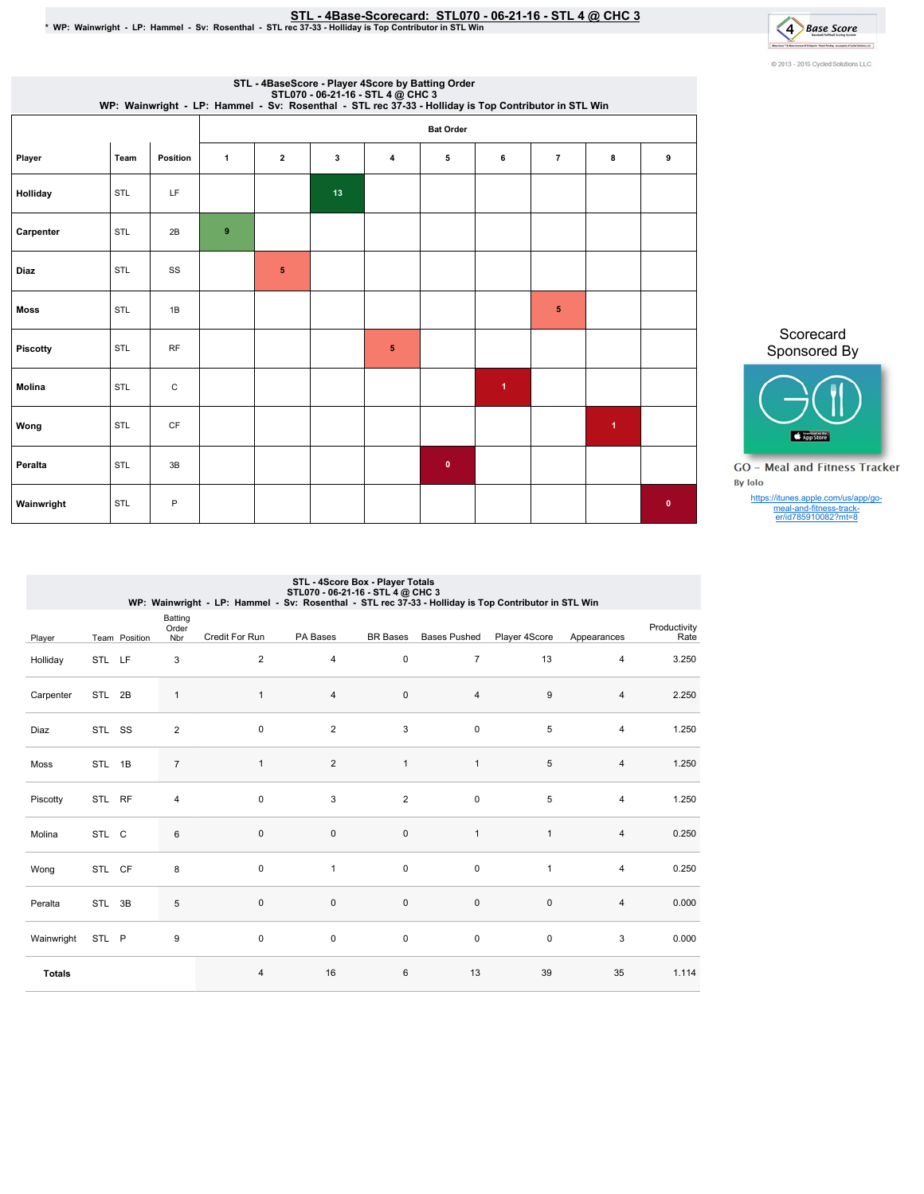# STL-4Base-Scorecard:STL070-06-21-16-STL4@ CHC3 \*WP:Wainwright-LP:Hammel-Sv:Rosenthal-STLrec37-33-HollidayisTopContributorinSTLWin



|             | STL - 4BaseScore - Player 4Score by Batting Order                                                                                         |              |              |   |    |   |                  |                      |                |                      |           |  |
|-------------|-------------------------------------------------------------------------------------------------------------------------------------------|--------------|--------------|---|----|---|------------------|----------------------|----------------|----------------------|-----------|--|
|             | STL070 - 06-21-16 - STL 4 @ CHC 3<br>WP: Wainwright - LP: Hammel - Sv: Rosenthal - STL rec 37-33 - Holliday is Top Contributor in STL Win |              |              |   |    |   |                  |                      |                |                      |           |  |
|             |                                                                                                                                           |              |              |   |    |   | <b>Bat Order</b> |                      |                |                      |           |  |
| Player      | Team                                                                                                                                      | Position     | $\mathbf{1}$ | 2 | 3  | 4 | 5                | 6                    | $\overline{7}$ | 8                    | 9         |  |
| Holliday    | STL                                                                                                                                       | LF           |              |   | 13 |   |                  |                      |                |                      |           |  |
| Carpenter   | STL                                                                                                                                       | 2B           | 9            |   |    |   |                  |                      |                |                      |           |  |
| Diaz        | STL                                                                                                                                       | SS           |              | 5 |    |   |                  |                      |                |                      |           |  |
| <b>Moss</b> | STL                                                                                                                                       | 1B           |              |   |    |   |                  |                      | 5              |                      |           |  |
| Piscotty    | <b>STL</b>                                                                                                                                | <b>RF</b>    |              |   |    | 5 |                  |                      |                |                      |           |  |
| Molina      | <b>STL</b>                                                                                                                                | $\mathsf{C}$ |              |   |    |   |                  | $\blacktriangleleft$ |                |                      |           |  |
| Wong        | <b>STL</b>                                                                                                                                | <b>CF</b>    |              |   |    |   |                  |                      |                | $\blacktriangleleft$ |           |  |
| Peralta     | <b>STL</b>                                                                                                                                | 3B           |              |   |    |   | $\mathbf{0}$     |                      |                |                      |           |  |
| Wainwright  | <b>STL</b>                                                                                                                                | P            |              |   |    |   |                  |                      |                |                      | $\bullet$ |  |

Scorecard Sponsored By



**GO** - Meal and Fitness Tracker By Iolo

https://itunes.apple.com/us/app/go-meal-and-fitness-track-er/id785910082?mt=8

|               | STL - 4Score Box - Player Totals<br>STL070 - 06-21-16 - STL 4 @ CHC 3<br>WP: Wainwright - LP: Hammel - Sv: Rosenthal - STL rec 37-33 - Holliday is Top Contributor in STL Win |               |                         |                |                |                 |                     |               |                |                      |  |
|---------------|-------------------------------------------------------------------------------------------------------------------------------------------------------------------------------|---------------|-------------------------|----------------|----------------|-----------------|---------------------|---------------|----------------|----------------------|--|
| Player        |                                                                                                                                                                               | Team Position | Batting<br>Order<br>Nbr | Credit For Run | PA Bases       | <b>BR</b> Bases | <b>Bases Pushed</b> | Player 4Score | Appearances    | Productivity<br>Rate |  |
| Holliday      | STL LF                                                                                                                                                                        |               | 3                       | $\overline{2}$ | 4              | 0               | $\overline{7}$      | 13            | 4              | 3.250                |  |
| Carpenter     | STL 2B                                                                                                                                                                        |               | $\mathbf{1}$            | $\mathbf{1}$   | $\overline{4}$ | 0               | 4                   | 9             | $\overline{4}$ | 2.250                |  |
| Diaz          | STL SS                                                                                                                                                                        |               | $\overline{2}$          | $\mathbf 0$    | $\overline{2}$ | 3               | $\pmb{0}$           | 5             | 4              | 1.250                |  |
| Moss          | STL 1B                                                                                                                                                                        |               | $\overline{7}$          | $\mathbf{1}$   | $\overline{2}$ | $\mathbf{1}$    | $\mathbf{1}$        | 5             | 4              | 1.250                |  |
| Piscotty      | STL RF                                                                                                                                                                        |               | 4                       | $\pmb{0}$      | 3              | $\overline{2}$  | $\pmb{0}$           | 5             | 4              | 1.250                |  |
| Molina        | STL C                                                                                                                                                                         |               | 6                       | $\mathbf 0$    | 0              | $\mathbf 0$     | $\mathbf{1}$        | $\mathbf{1}$  | $\overline{4}$ | 0.250                |  |
| Wong          | STL CF                                                                                                                                                                        |               | 8                       | $\mathbf 0$    | $\mathbf{1}$   | 0               | $\mathbf 0$         | $\mathbf{1}$  | 4              | 0.250                |  |
| Peralta       | STL 3B                                                                                                                                                                        |               | 5                       | 0              | 0              | $\pmb{0}$       | $\pmb{0}$           | $\mathbf 0$   | 4              | 0.000                |  |
| Wainwright    | STL P                                                                                                                                                                         |               | 9                       | $\mathbf 0$    | $\mathbf 0$    | $\mathbf 0$     | 0                   | 0             | 3              | 0.000                |  |
| <b>Totals</b> |                                                                                                                                                                               |               |                         | 4              | 16             | 6               | 13                  | 39            | 35             | 1.114                |  |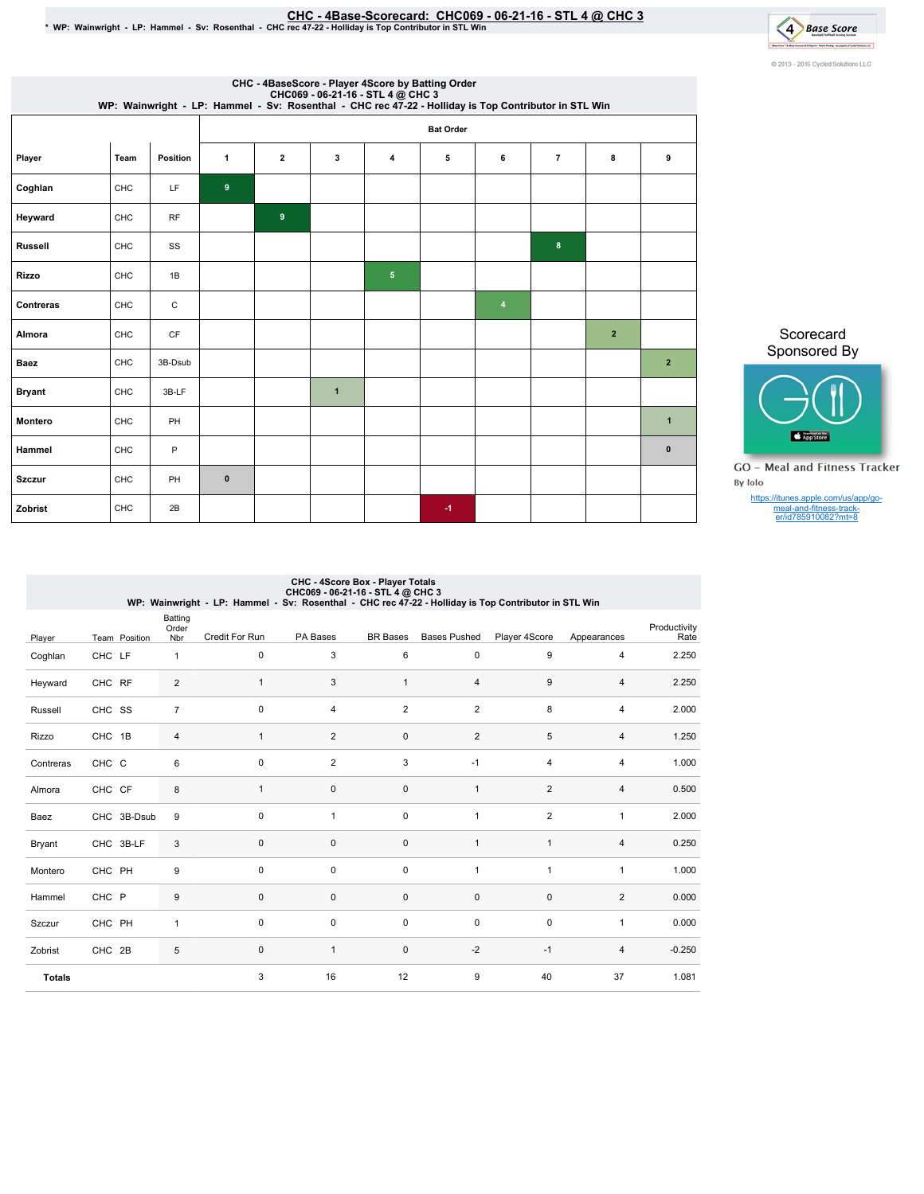## CHC-4Base-Scorecard:CHC069-06-21-16-STL4@ CHC3 \*WP:Wainwright-LP:Hammel-Sv:Rosenthal-CHCrec47-22-HollidayisTopContributorinSTLWin



| CHC - 4BaseScore - Player 4Score by Batting Order<br>CHC069 - 06-21-16 - STL 4 @ CHC 3<br>WP: Wainwright - LP: Hammel - Sv: Rosenthal - CHC rec 47-22 - Holliday is Top Contributor in STL Win |      |           |                  |                |                |                |      |                |                |                |                |
|------------------------------------------------------------------------------------------------------------------------------------------------------------------------------------------------|------|-----------|------------------|----------------|----------------|----------------|------|----------------|----------------|----------------|----------------|
|                                                                                                                                                                                                |      |           | <b>Bat Order</b> |                |                |                |      |                |                |                |                |
| Player                                                                                                                                                                                         | Team | Position  | $\mathbf{1}$     | $\mathbf{2}$   | 3              | 4              | 5    | 6              | $\overline{7}$ | 8              | 9              |
| Coghlan                                                                                                                                                                                        | CHC  | LF        | 9                |                |                |                |      |                |                |                |                |
| Heyward                                                                                                                                                                                        | CHC  | <b>RF</b> |                  | $\overline{9}$ |                |                |      |                |                |                |                |
| <b>Russell</b>                                                                                                                                                                                 | CHC  | SS        |                  |                |                |                |      |                | 8              |                |                |
| <b>Rizzo</b>                                                                                                                                                                                   | CHC  | 1B        |                  |                |                | 5 <sub>5</sub> |      |                |                |                |                |
| <b>Contreras</b>                                                                                                                                                                               | CHC  | C         |                  |                |                |                |      | $\overline{4}$ |                |                |                |
| Almora                                                                                                                                                                                         | CHC  | <b>CF</b> |                  |                |                |                |      |                |                | $\overline{2}$ |                |
| <b>Baez</b>                                                                                                                                                                                    | CHC  | 3B-Dsub   |                  |                |                |                |      |                |                |                | $\overline{2}$ |
| <b>Bryant</b>                                                                                                                                                                                  | CHC  | 3B-LF     |                  |                | $\overline{1}$ |                |      |                |                |                |                |
| <b>Montero</b>                                                                                                                                                                                 | CHC  | PH        |                  |                |                |                |      |                |                |                | $\mathbf{1}$   |
| Hammel                                                                                                                                                                                         | CHC  | P         |                  |                |                |                |      |                |                |                | $\mathbf{0}$   |
| <b>Szczur</b>                                                                                                                                                                                  | CHC  | PH        | $\pmb{0}$        |                |                |                |      |                |                |                |                |
| Zobrist                                                                                                                                                                                        | CHC  | 2B        |                  |                |                |                | $-1$ |                |                |                |                |

Scorecard Sponsored By



**GO** - Meal and Fitness Tracker By Iolo

https://itunes.apple.com/us/app/go-meal-and-fitness-track-er/id785910082?mt=8

# CHC - 4Score Box - Player Totals<br>CHC069 - 06-21-16 - SCOG9 - CHC069<br>WP: Wainwright - LP: Hammel - Sv: Rosenthal - CHC rec 47-22 - Holliday is Top Contributor in STL Win

|               |        |               | Batting<br>Order | Credit For Run | PA Bases       | <b>BR</b> Bases | <b>Bases Pushed</b>     | Player 4Score    | Appearances    | Productivity<br>Rate |
|---------------|--------|---------------|------------------|----------------|----------------|-----------------|-------------------------|------------------|----------------|----------------------|
| Player        |        | Team Position | Nbr              |                |                |                 |                         |                  |                |                      |
| Coghlan       | CHC LF |               | $\mathbf{1}$     | $\pmb{0}$      | 3              | 6               | 0                       | $\boldsymbol{9}$ | $\overline{4}$ | 2.250                |
| Heyward       | CHC RF |               | $\overline{2}$   | $\mathbf{1}$   | 3              | $\mathbf{1}$    | $\overline{4}$          | $\boldsymbol{9}$ | $\overline{4}$ | 2.250                |
| Russell       | CHC SS |               | $\overline{7}$   | $\mathbf 0$    | $\overline{4}$ | $\overline{2}$  | $\overline{\mathbf{c}}$ | 8                | $\overline{4}$ | 2.000                |
| Rizzo         | CHC 1B |               | $\overline{4}$   | $\mathbf{1}$   | $\overline{2}$ | $\pmb{0}$       | $\overline{2}$          | $\overline{5}$   | $\overline{4}$ | 1.250                |
| Contreras     | CHC C  |               | 6                | $\pmb{0}$      | $\overline{2}$ | 3               | $-1$                    | 4                | $\overline{4}$ | 1.000                |
| Almora        | CHC CF |               | $\bf 8$          | $\mathbf{1}$   | $\mathbf 0$    | 0               | $\mathbf{1}$            | $\overline{2}$   | $\overline{4}$ | 0.500                |
| Baez          |        | CHC 3B-Dsub   | 9                | $\mathbf 0$    | $\overline{1}$ | $\mathbf 0$     | $\mathbf{1}$            | $\overline{2}$   | $\mathbf{1}$   | 2.000                |
| Bryant        |        | CHC 3B-LF     | 3                | 0              | $\pmb{0}$      | $\pmb{0}$       | $\mathbf{1}$            | $\mathbf{1}$     | $\overline{4}$ | 0.250                |
| Montero       | CHC PH |               | 9                | $\mathbf 0$    | $\mathbf 0$    | 0               | 1                       | 1                | $\mathbf{1}$   | 1.000                |
| Hammel        | CHC P  |               | $9\,$            | $\mathbf 0$    | $\mathbf 0$    | 0               | $\mathbf 0$             | $\mathbf 0$      | 2              | 0.000                |
| Szczur        | CHC PH |               | 1                | $\pmb{0}$      | $\pmb{0}$      | 0               | 0                       | $\mathbf 0$      | $\mathbf{1}$   | 0.000                |
| Zobrist       | CHC 2B |               | 5                | 0              | $\overline{1}$ | $\pmb{0}$       | $-2$                    | $-1$             | $\overline{4}$ | $-0.250$             |
| <b>Totals</b> |        |               |                  | 3              | 16             | 12              | 9                       | 40               | 37             | 1.081                |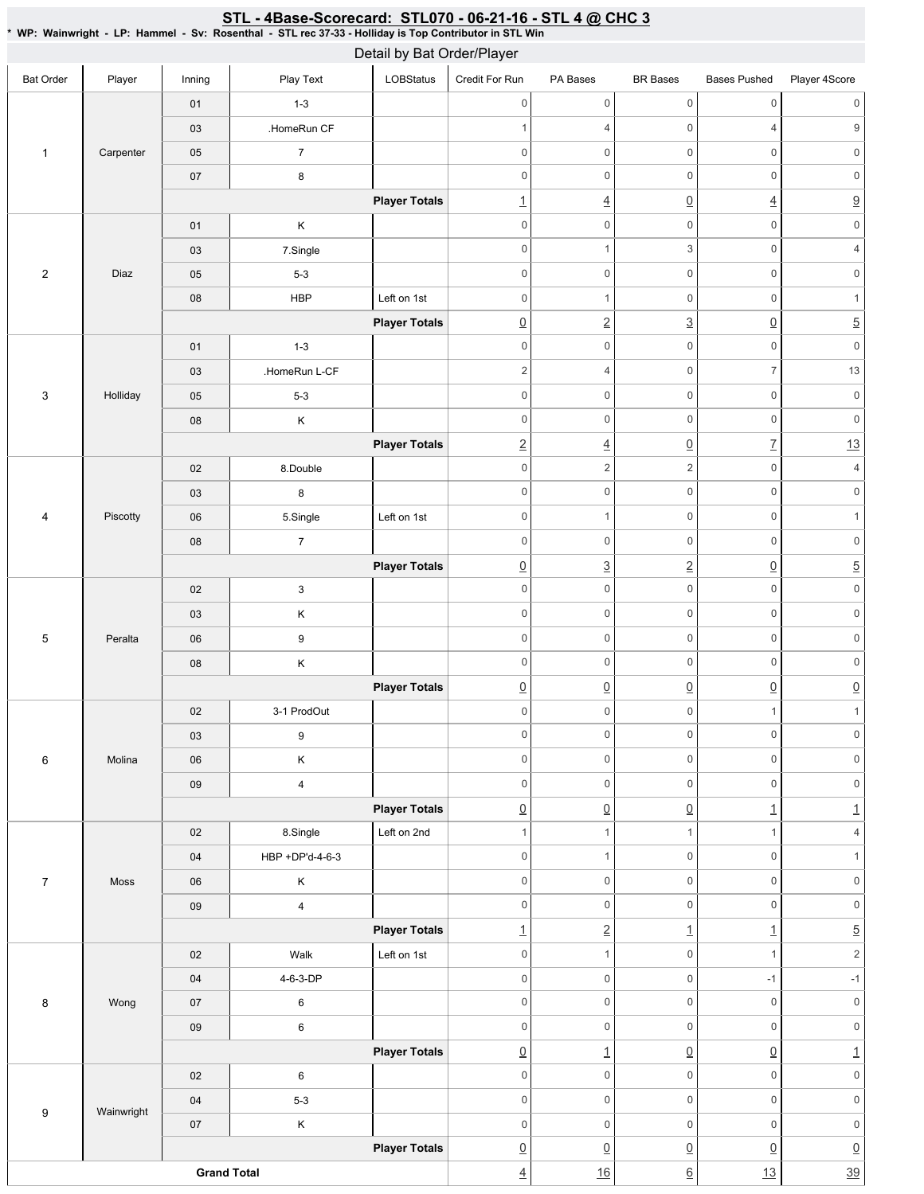### Bat Order | Player | Inning | PlayText | LOBStatus Credit For Run PA Bases BR Bases Bases Pushed Player 4Score 1 Carpenter 01 1-3 03 **HomeRun CF** 05 7 07 8 **Player Totals** 2 Diaz 01 | K 03 7.Single 05 5-3 08 HBP Left on 1st **Player Totals** 3 Holliday 01 1-3 03 **HomeRun L-CF** 05 5-3 08 K **Player Totals** 4 Piscotty 02 8.Double 03 8 06 | 5.Single | Left on 1st 08 7 **Player Totals** 5 Peralta 02 3 03 K 06 9 08 K **Player Totals** 6 Molina 02 3-1 ProdOut 03 9 06 K 09 4 **Player Totals** 7 Moss 02 8.Single Left on 2nd 04 HBP +DP'd-4-6-3 06 K 09 4 **Player Totals** 8 Wong 02 | Walk Left on 1st 04 4-6-3-DP 07 6 09 6 **Player Totals** 9 Wainwright 02 6 04 5-3 07 K **Player Totals Grand Total** 0 0 0 0 0 0 1 4 0 4 9 0 0 0 0 0 0 0 0 0 0 0 0  $\frac{1}{4}$   $\frac{1}{1}$   $\frac{1}{2}$ 0 0 0 0 0 0 0 1 3 0 4 0 0 0 0 0 0 0 0 1 0 1 0 2 3 0 5 0 0 0 0 0 0 2 4 0 7 13 0 0 0 0 0 0 0 0 0 0 0 0 2 4 0 7 13  $0 \qquad \qquad 2 \qquad \qquad 2 \qquad \qquad 0 \qquad \qquad 4$ 0 0 0 0 0 0 0 0 1 0 1 0 0 0 0 0 0 0 3 2 0 5 0 0 0 0 0 0 0 0 0 0 0 0 0 0 0 0 0 0 0 0 0 0 0 0  $\begin{array}{c|c|c|c|c|c} \hline \Omega & \Omega & \Omega & \Omega \end{array} \hspace{1.5cm} \begin{array}{c|c|c} \hline \Omega & \Omega & \Omega \end{array} \hspace{1.5cm} \begin{array}{c|c|c} \hline \Omega & \Omega & \Omega \end{array} \end{array}$  $0 \qquad 0 \qquad 0 \qquad 1 \qquad 1$ 0 0 0 0 0 0 0 0 0 0 0 0 0 0 0 0 0 0  $\boxed{0}$   $\boxed{1}$   $\boxed{1}$   $\boxed{1}$ 1 1 1 1  $1$  4 0 0 1 0 1 0 0 0 0 0 0 0 0 0 0 0 0 1 2 1 1 5 0 1 0 1 2 0 0 -1 -1 0 0 0 0 0 0 0 0 0 0 0 0  $\boxed{0}$  1  $\boxed{0}$   $\boxed{0}$  1 0 0 0 0 0 0 0 0 0 0 0 0 0 0 0 0 0 0  $\overline{0}$   $\overline{0}$   $\overline{0}$   $\overline{0}$   $\overline{0}$   $\overline{0}$   $\overline{0}$  $\frac{4}{16}$  16 6 13 39 Detail by Bat Order/Player

## <u>STL - 4Base-Scorecard: STL070 - 06-21-16 - STL 4 @ CHC 3</u>

\* WP: Wainwright-LP: Hammel-Sv: Rosenthal-STL rec 37-33 - Holliday is Top Contributor in STL Win